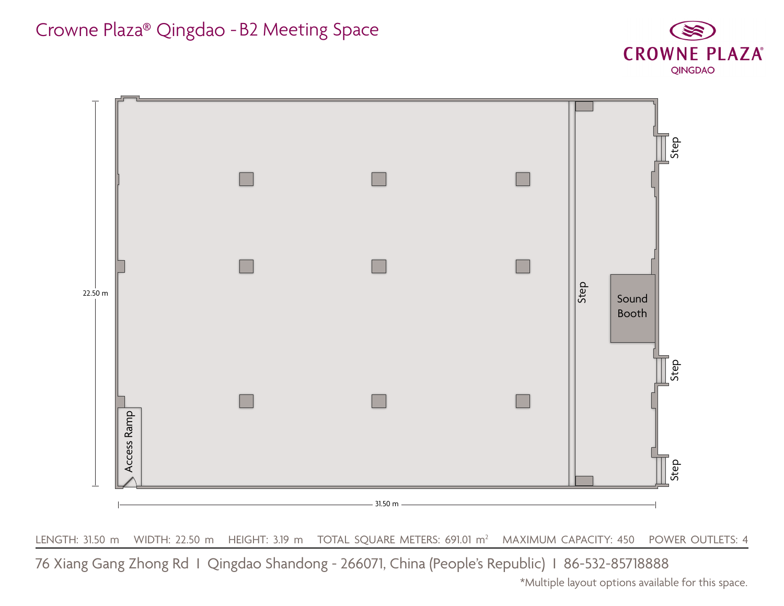

LENGTH: 31.50 m WIDTH: 22.50 m HEIGHT: 3.19 m TOTAL SQUARE METERS: 691.01 m<sup>2</sup> MAXIMUM CAPACITY: 450 POWER OUTLETS: 4

Crowne Plaza® Qingdao - B2 Meeting Space

\*Multiple layout options available for this space.



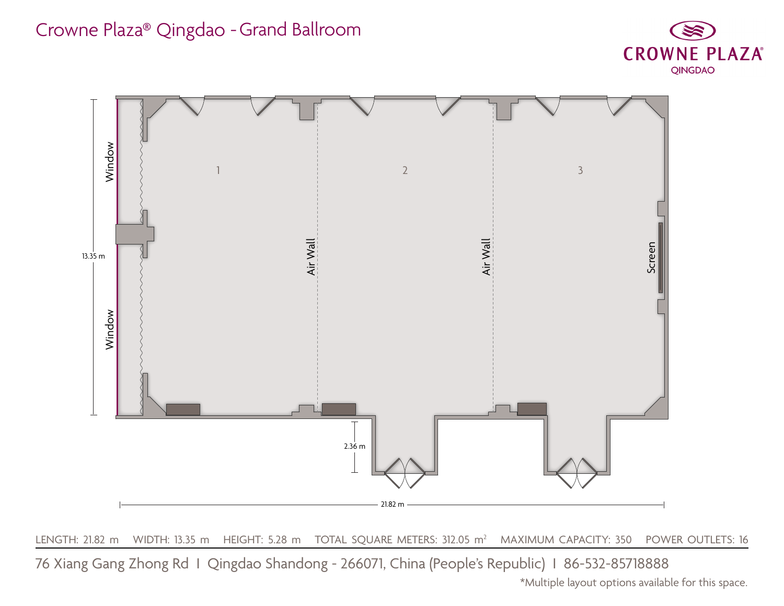

LENGTH: 21.82 m WIDTH: 13.35 m HEIGHT: 5.28 m TOTAL SQUARE METERS: 312.05 m<sup>2</sup> MAXIMUM CAPACITY: 350 POWER OUTLETS: 16

## Crowne Plaza® Qingdao - Grand Ballroom



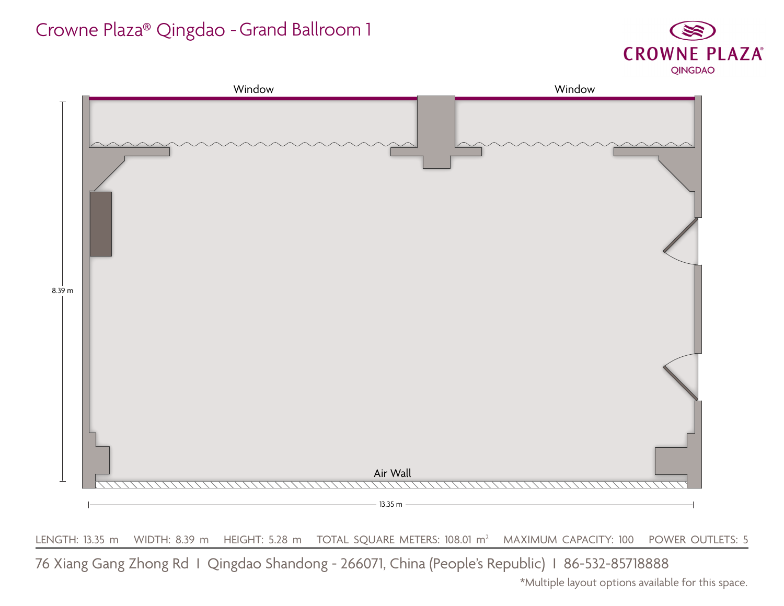

LENGTH: 13.35 m WIDTH: 8.39 m HEIGHT: 5.28 m TOTAL SQUARE METERS: 108.01 m<sup>2</sup> MAXIMUM CAPACITY: 100 POWER OUTLETS: 5

# Crowne Plaza® Qingdao - Grand Ballroom 1

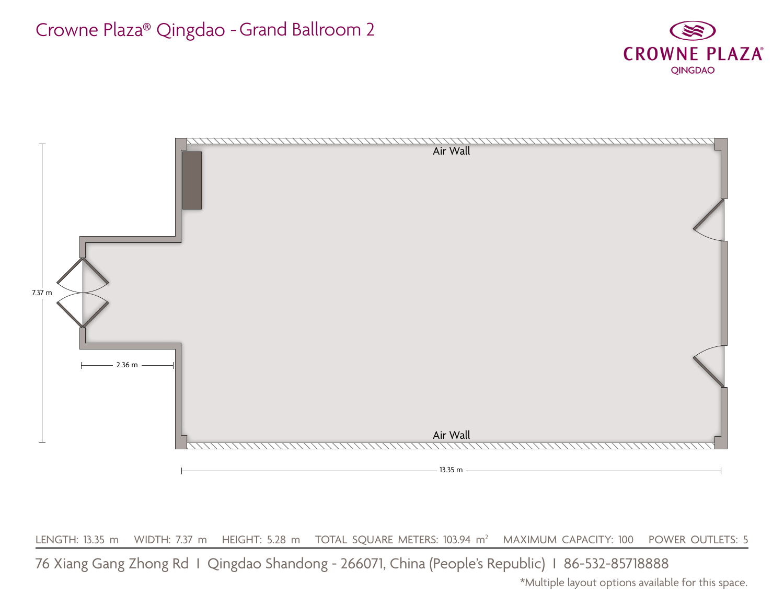

LENGTH: 13.35 m WIDTH: 7.37 m HEIGHT: 5.28 m TOTAL SQUARE METERS: 103.94 m<sup>2</sup> MAXIMUM CAPACITY: 100 POWER OUTLETS: 5

76 Xiang Gang Zhong Rd I Qingdao Shandong - 266071, China (People's Republic) I 86-532-85718888



# Crowne Plaza® Qingdao - Grand Ballroom 2

\*Multiple layout options available for this space.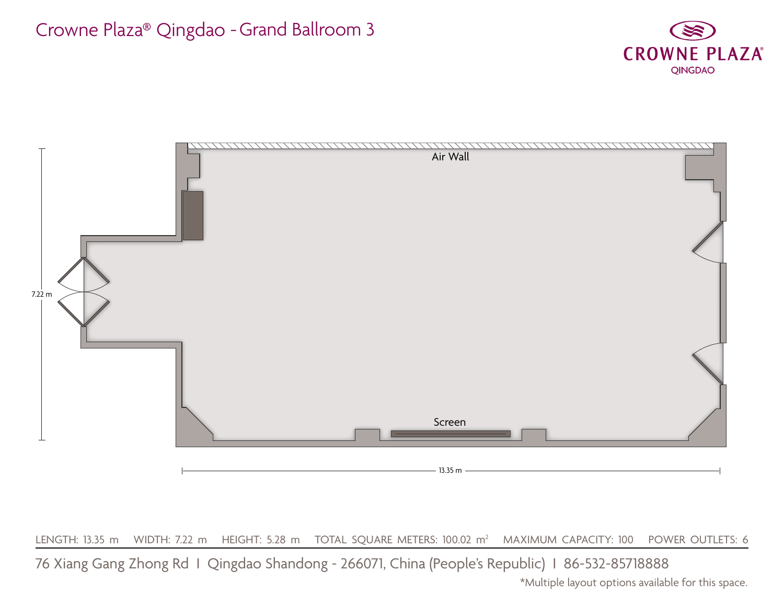

LENGTH: 13.35 m WIDTH: 7.22 m HEIGHT: 5.28 m TOTAL SQUARE METERS: 100.02 m<sup>2</sup> MAXIMUM CAPACITY: 100 POWER OUTLETS: 6

# Crowne Plaza® Qingdao - Grand Ballroom 3

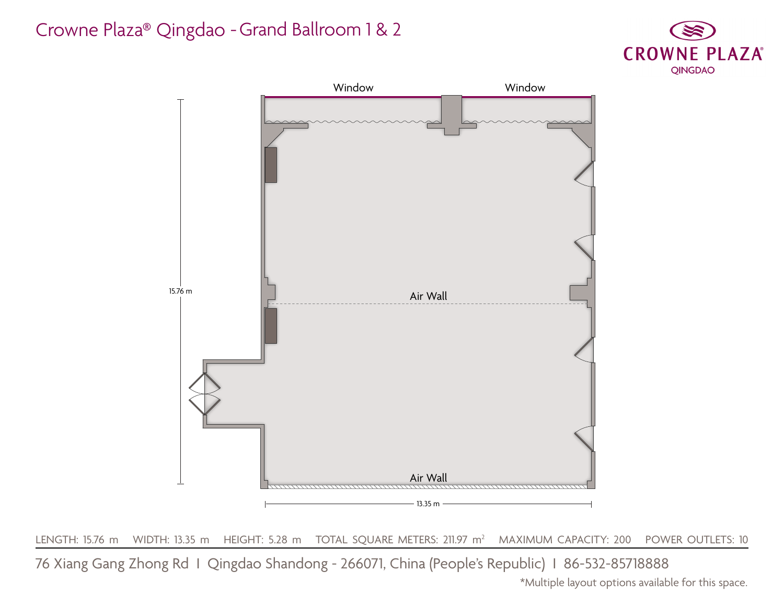

 $\tt LENGTH:$  15.76 m  $\;$  WIDTH: 13.35 m  $\;$  HEIGHT: 5.28 m  $\;$  TOTAL SQUARE METERS: 211.97 m $^2$   $\;$  MAXIMUM CAPACITY: 200  $\;$  POWER OUTLETS: 10

## Crowne Plaza® Qingdao - Grand Ballroom 1 & 2